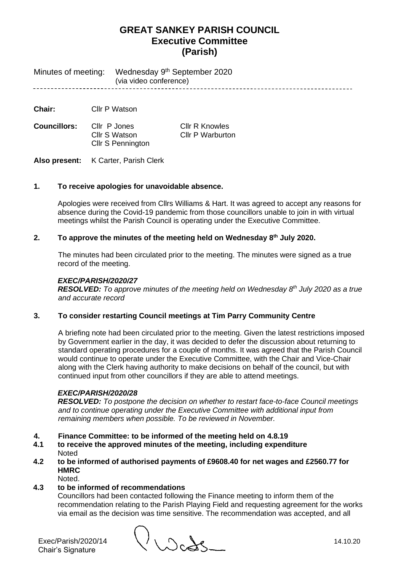Wednesday 9<sup>th</sup> September 2020 Minutes of meeting: (via video conference) --------------------------------

**Chair:** Cllr P Watson

**Councillors:** Cllr P Jones Cllr R Knowles<br>Cllr S Watson Cllr P Warburto Cllr S Pennington

Cllr P Warburton

**Also present:** K Carter, Parish Clerk

# **1. To receive apologies for unavoidable absence.**

Apologies were received from Cllrs Williams & Hart. It was agreed to accept any reasons for absence during the Covid-19 pandemic from those councillors unable to join in with virtual meetings whilst the Parish Council is operating under the Executive Committee.

## **2. To approve the minutes of the meeting held on Wednesday 8 th July 2020.**

The minutes had been circulated prior to the meeting. The minutes were signed as a true record of the meeting.

# *EXEC/PARISH/2020/27*

*RESOLVED: To approve minutes of the meeting held on Wednesday 8 th July 2020 as a true and accurate record*

## **3. To consider restarting Council meetings at Tim Parry Community Centre**

A briefing note had been circulated prior to the meeting. Given the latest restrictions imposed by Government earlier in the day, it was decided to defer the discussion about returning to standard operating procedures for a couple of months. It was agreed that the Parish Council would continue to operate under the Executive Committee, with the Chair and Vice-Chair along with the Clerk having authority to make decisions on behalf of the council, but with continued input from other councillors if they are able to attend meetings.

#### *EXEC/PARISH/2020/28*

*RESOLVED: To postpone the decision on whether to restart face-to-face Council meetings and to continue operating under the Executive Committee with additional input from remaining members when possible. To be reviewed in November.*

- **4. Finance Committee: to be informed of the meeting held on 4.8.19**
- **4.1 to receive the approved minutes of the meeting, including expenditure Noted**
- **4.2 to be informed of authorised payments of £9608.40 for net wages and £2560.77 for HMRC**
	- Noted.

# **4.3 to be informed of recommendations**

Councillors had been contacted following the Finance meeting to inform them of the recommendation relating to the Parish Playing Field and requesting agreement for the works via email as the decision was time sensitive. The recommendation was accepted, and all

Exec/Parish/2020/14 14.10.20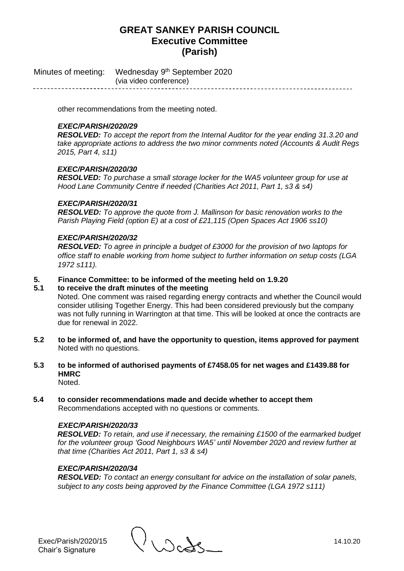Minutes of meeting: Wednesday 9<sup>th</sup> September 2020 (via video conference)

other recommendations from the meeting noted.

# *EXEC/PARISH/2020/29*

*RESOLVED: To accept the report from the Internal Auditor for the year ending 31.3.20 and take appropriate actions to address the two minor comments noted (Accounts & Audit Regs 2015, Part 4, s11)*

# *EXEC/PARISH/2020/30*

*RESOLVED: To purchase a small storage locker for the WA5 volunteer group for use at Hood Lane Community Centre if needed (Charities Act 2011, Part 1, s3 & s4)*

## *EXEC/PARISH/2020/31*

*RESOLVED: To approve the quote from J. Mallinson for basic renovation works to the Parish Playing Field (option E) at a cost of £21,115 (Open Spaces Act 1906 ss10)*

## *EXEC/PARISH/2020/32*

*RESOLVED: To agree in principle a budget of £3000 for the provision of two laptops for office staff to enable working from home subject to further information on setup costs (LGA 1972 s111).*

## **5. Finance Committee: to be informed of the meeting held on 1.9.20**

#### **5.1 to receive the draft minutes of the meeting**

Noted. One comment was raised regarding energy contracts and whether the Council would consider utilising Together Energy. This had been considered previously but the company was not fully running in Warrington at that time. This will be looked at once the contracts are due for renewal in 2022.

- **5.2 to be informed of, and have the opportunity to question, items approved for payment** Noted with no questions.
- **5.3 to be informed of authorised payments of £7458.05 for net wages and £1439.88 for HMRC** Noted.

**5.4 to consider recommendations made and decide whether to accept them** Recommendations accepted with no questions or comments.

## *EXEC/PARISH/2020/33*

*RESOLVED: To retain, and use if necessary, the remaining £1500 of the earmarked budget for the volunteer group 'Good Neighbours WA5' until November 2020 and review further at that time (Charities Act 2011, Part 1, s3 & s4)*

#### *EXEC/PARISH/2020/34*

*RESOLVED: To contact an energy consultant for advice on the installation of solar panels, subject to any costs being approved by the Finance Committee (LGA 1972 s111)*

Exec/Parish/2020/15 14.10.20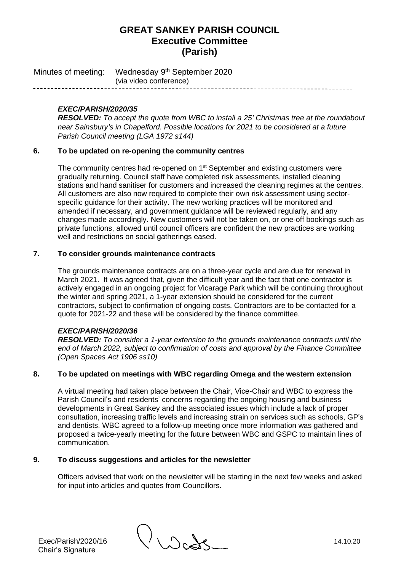Minutes of meeting: Wednesday 9<sup>th</sup> September 2020 (via video conference)

# *EXEC/PARISH/2020/35*

*RESOLVED: To accept the quote from WBC to install a 25' Christmas tree at the roundabout near Sainsbury's in Chapelford. Possible locations for 2021 to be considered at a future Parish Council meeting (LGA 1972 s144)*

# **6. To be updated on re-opening the community centres**

The community centres had re-opened on 1<sup>st</sup> September and existing customers were gradually returning. Council staff have completed risk assessments, installed cleaning stations and hand sanitiser for customers and increased the cleaning regimes at the centres. All customers are also now required to complete their own risk assessment using sectorspecific guidance for their activity. The new working practices will be monitored and amended if necessary, and government guidance will be reviewed regularly, and any changes made accordingly. New customers will not be taken on, or one-off bookings such as private functions, allowed until council officers are confident the new practices are working well and restrictions on social gatherings eased.

# **7. To consider grounds maintenance contracts**

The grounds maintenance contracts are on a three-year cycle and are due for renewal in March 2021. It was agreed that, given the difficult year and the fact that one contractor is actively engaged in an ongoing project for Vicarage Park which will be continuing throughout the winter and spring 2021, a 1-year extension should be considered for the current contractors, subject to confirmation of ongoing costs. Contractors are to be contacted for a quote for 2021-22 and these will be considered by the finance committee.

# *EXEC/PARISH/2020/36*

*RESOLVED: To consider a 1-year extension to the grounds maintenance contracts until the end of March 2022, subject to confirmation of costs and approval by the Finance Committee (Open Spaces Act 1906 ss10)*

# **8. To be updated on meetings with WBC regarding Omega and the western extension**

A virtual meeting had taken place between the Chair, Vice-Chair and WBC to express the Parish Council's and residents' concerns regarding the ongoing housing and business developments in Great Sankey and the associated issues which include a lack of proper consultation, increasing traffic levels and increasing strain on services such as schools, GP's and dentists. WBC agreed to a follow-up meeting once more information was gathered and proposed a twice-yearly meeting for the future between WBC and GSPC to maintain lines of communication.

# **9. To discuss suggestions and articles for the newsletter**

Officers advised that work on the newsletter will be starting in the next few weeks and asked for input into articles and quotes from Councillors.

Exec/Parish/2020/16 14.10.20